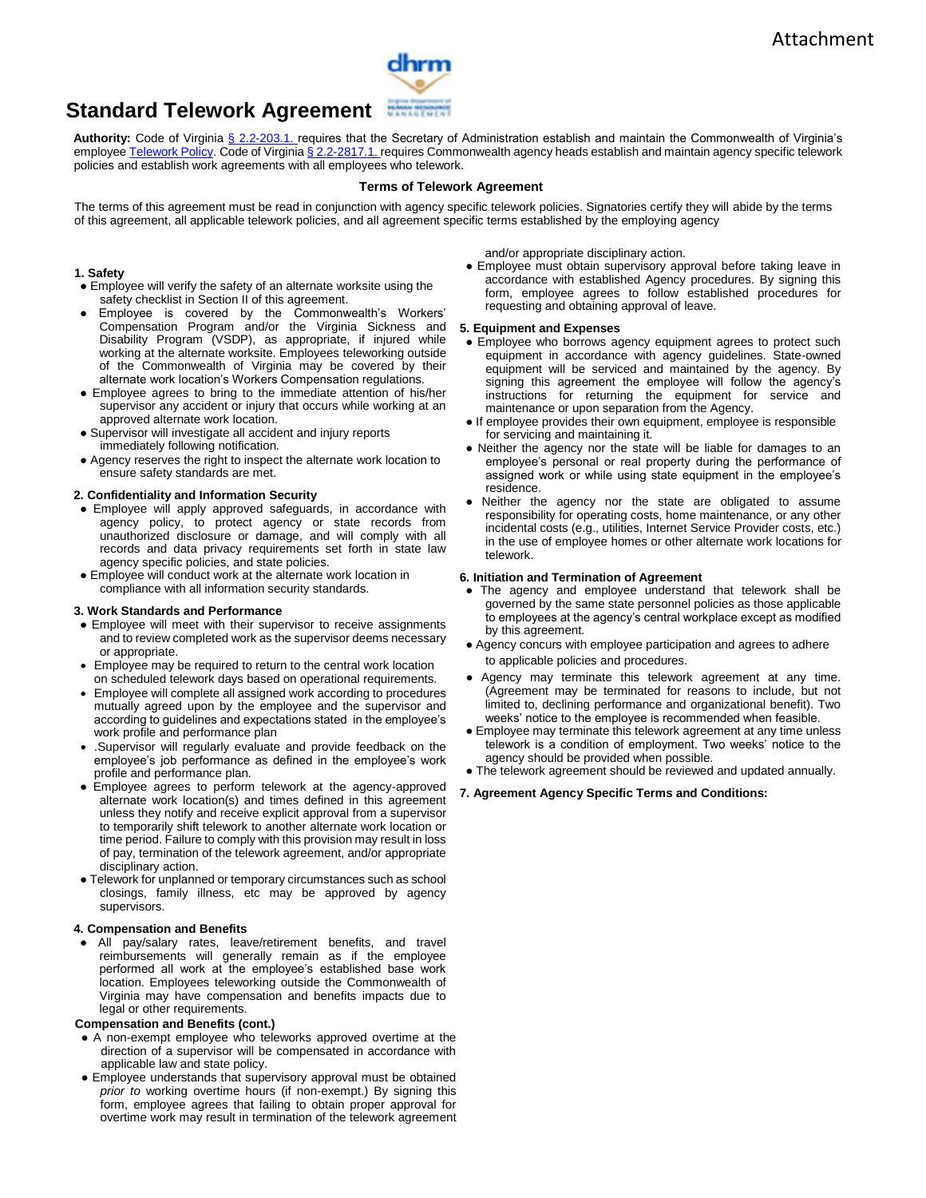

# **Standard Telework Agreement**

**Authority:** Code of Virginia § 2.2-203.1. requires that the Secretary of Administration establish and maintain the Commonwealth of Virginia's employee Telework Policy. Code of Virginia § 2.2-2817.1. requires Commonwealth agency heads establish and maintain agency specific telework policies and establish work agreements with all employees who telework.

## **Terms of Telework Agreement**

The terms of this agreement must be read in conjunction with agency specific telework policies. Signatories certify they will abide by the terms of this agreement, all applicable telework policies, and all agreement specific terms established by the employing agency

## **1. Safety**

- Employee will verify the safety of an alternate worksite using the safety checklist in Section II of this agreement.
- Employee is covered by the Commonwealth's Workers' Compensation Program and/or the Virginia Sickness and Disability Program (VSDP), as appropriate, if injured while working at the alternate worksite. Employees teleworking outside of the Commonwealth of Virginia may be covered by their alternate work location's Workers Compensation regulations.
- Employee agrees to bring to the immediate attention of his/her supervisor any accident or injury that occurs while working at an approved alternate work location.
- Supervisor will investigate all accident and injury reports immediately following notification.
- Agency reserves the right to inspect the alternate work location to ensure safety standards are met.

## **2. Confidentiality and Information Security**

- Employee will apply approved safeguards, in accordance with agency policy, to protect agency or state records from unauthorized disclosure or damage, and will comply with all records and data privacy requirements set forth in state law agency specific policies, and state policies.
- Employee will conduct work at the alternate work location in compliance with all information security standards.

#### **3. Work Standards and Performance**

- Employee will meet with their supervisor to receive assignments and to review completed work as the supervisor deems necessary or appropriate.
- Employee may be required to return to the central work location on scheduled telework days based on operational requirements.
- Employee will complete all assigned work according to procedures mutually agreed upon by the employee and the supervisor and according to guidelines and expectations stated in the employee's work profile and performance plan
- .Supervisor will regularly evaluate and provide feedback on the employee's job performance as defined in the employee's work profile and performance plan.
- Employee agrees to perform telework at the agency-approved alternate work location(s) and times defined in this agreement unless they notify and receive explicit approval from a supervisor to temporarily shift telework to another alternate work location or time period. Failure to comply with this provision may result in loss of pay, termination of the telework agreement, and/or appropriate disciplinary action.
- Telework for unplanned or temporary circumstances such as school closings, family illness, etc may be approved by agency supervisors.

#### **4. Compensation and Benefits**

● All pay/salary rates, leave/retirement benefits, and travel reimbursements will generally remain as if the employee performed all work at the employee's established base work location. Employees teleworking outside the Commonwealth of Virginia may have compensation and benefits impacts due to legal or other requirements.

### **Compensation and Benefits (cont.)**

- A non-exempt employee who teleworks approved overtime at the direction of a supervisor will be compensated in accordance with applicable law and state policy.
- Employee understands that supervisory approval must be obtained *prior to* working overtime hours (if non-exempt.) By signing this form, employee agrees that failing to obtain proper approval for overtime work may result in termination of the telework agreement

and/or appropriate disciplinary action.

● Employee must obtain supervisory approval before taking leave in accordance with established Agency procedures. By signing this form, employee agrees to follow established procedures for requesting and obtaining approval of leave.

### **5. Equipment and Expenses**

- Employee who borrows agency equipment agrees to protect such equipment in accordance with agency guidelines. State-owned equipment will be serviced and maintained by the agency. By signing this agreement the employee will follow the agency's instructions for returning the equipment for service and maintenance or upon separation from the Agency.
- If employee provides their own equipment, employee is responsible for servicing and maintaining it.
- Neither the agency nor the state will be liable for damages to an employee's personal or real property during the performance of assigned work or while using state equipment in the employee's residence.
- Neither the agency nor the state are obligated to assume responsibility for operating costs, home maintenance, or any other incidental costs (e.g., utilities, Internet Service Provider costs, etc.) in the use of employee homes or other alternate work locations for telework.

#### **6. Initiation and Termination of Agreement**

- The agency and employee understand that telework shall be governed by the same state personnel policies as those applicable to employees at the agency's central workplace except as modified by this agreement.
- Agency concurs with employee participation and agrees to adhere to applicable policies and procedures.
- Agency may terminate this telework agreement at any time. (Agreement may be terminated for reasons to include, but not limited to, declining performance and organizational benefit). Two weeks' notice to the employee is recommended when feasible.
- Employee may terminate this telework agreement at any time unless telework is a condition of employment. Two weeks' notice to the agency should be provided when possible.
- The telework agreement should be reviewed and updated annually.

#### **7. Agreement Agency Specific Terms and Conditions:**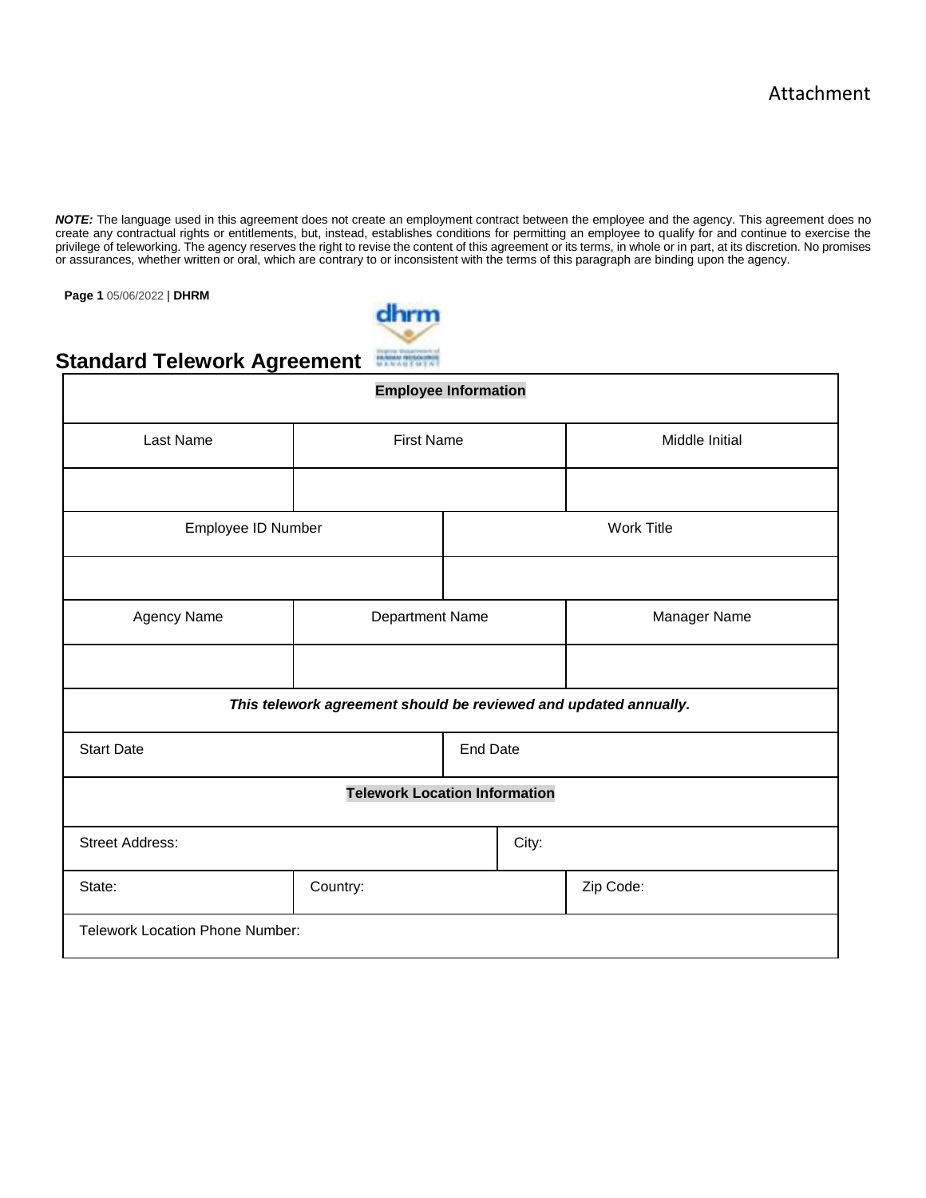*NOTE:* The language used in this agreement does not create an employment contract between the employee and the agency. This agreement does no create any contractual rights or entitlements, but, instead, establishes conditions for permitting an employee to qualify for and continue to exercise the privilege of teleworking. The agency reserves the right to revise the content of this agreement or its terms, in whole or in part, at its discretion. No promises or assurances, whether written or oral, which are contrary to or inconsistent with the terms of this paragraph are binding upon the agency.

**Page 1** 05/06/2022 | **DHRM** 



# **Standard Telework Agreement**

| <b>Employee Information</b>            |                                                                  |  |       |                   |  |  |
|----------------------------------------|------------------------------------------------------------------|--|-------|-------------------|--|--|
| Last Name                              | <b>First Name</b>                                                |  |       | Middle Initial    |  |  |
|                                        |                                                                  |  |       |                   |  |  |
| Employee ID Number                     |                                                                  |  |       | <b>Work Title</b> |  |  |
|                                        |                                                                  |  |       |                   |  |  |
| Agency Name                            | Department Name                                                  |  |       | Manager Name      |  |  |
|                                        |                                                                  |  |       |                   |  |  |
|                                        | This telework agreement should be reviewed and updated annually. |  |       |                   |  |  |
| <b>Start Date</b>                      | <b>End Date</b>                                                  |  |       |                   |  |  |
| <b>Telework Location Information</b>   |                                                                  |  |       |                   |  |  |
| <b>Street Address:</b>                 |                                                                  |  | City: |                   |  |  |
| State:                                 | Country:                                                         |  |       | Zip Code:         |  |  |
| <b>Telework Location Phone Number:</b> |                                                                  |  |       |                   |  |  |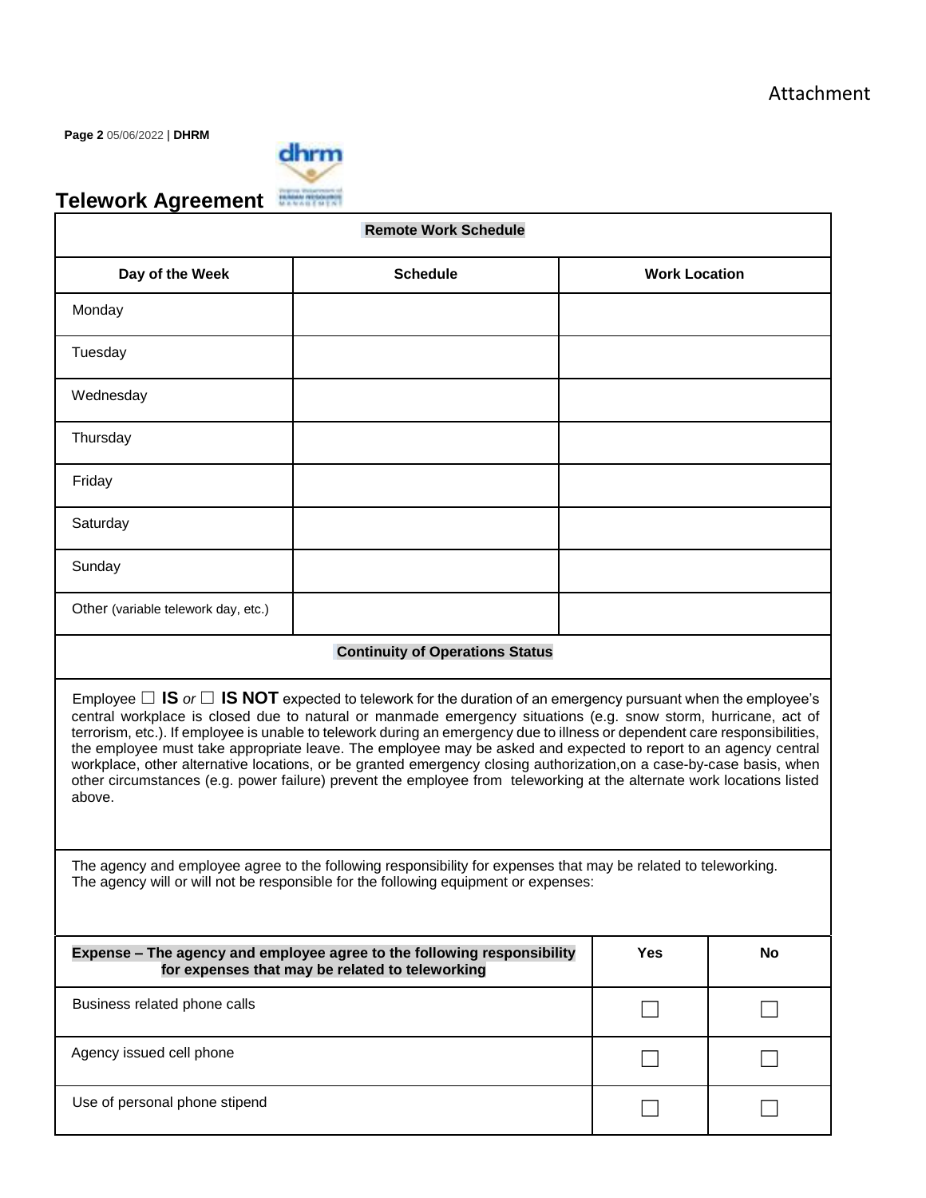**Page 2** 05/06/2022 | **DHRM** 



# **Telework Agreement**

| <b>Remote Work Schedule</b>                                                                                                                                                                                                                                                                                                                                                                                                                                                                                                                                                                                                                                                                                                                          |                                        |                      |  |  |
|------------------------------------------------------------------------------------------------------------------------------------------------------------------------------------------------------------------------------------------------------------------------------------------------------------------------------------------------------------------------------------------------------------------------------------------------------------------------------------------------------------------------------------------------------------------------------------------------------------------------------------------------------------------------------------------------------------------------------------------------------|----------------------------------------|----------------------|--|--|
| Day of the Week                                                                                                                                                                                                                                                                                                                                                                                                                                                                                                                                                                                                                                                                                                                                      | <b>Schedule</b>                        | <b>Work Location</b> |  |  |
| Monday                                                                                                                                                                                                                                                                                                                                                                                                                                                                                                                                                                                                                                                                                                                                               |                                        |                      |  |  |
| Tuesday                                                                                                                                                                                                                                                                                                                                                                                                                                                                                                                                                                                                                                                                                                                                              |                                        |                      |  |  |
| Wednesday                                                                                                                                                                                                                                                                                                                                                                                                                                                                                                                                                                                                                                                                                                                                            |                                        |                      |  |  |
| Thursday                                                                                                                                                                                                                                                                                                                                                                                                                                                                                                                                                                                                                                                                                                                                             |                                        |                      |  |  |
| Friday                                                                                                                                                                                                                                                                                                                                                                                                                                                                                                                                                                                                                                                                                                                                               |                                        |                      |  |  |
| Saturday                                                                                                                                                                                                                                                                                                                                                                                                                                                                                                                                                                                                                                                                                                                                             |                                        |                      |  |  |
| Sunday                                                                                                                                                                                                                                                                                                                                                                                                                                                                                                                                                                                                                                                                                                                                               |                                        |                      |  |  |
| Other (variable telework day, etc.)                                                                                                                                                                                                                                                                                                                                                                                                                                                                                                                                                                                                                                                                                                                  |                                        |                      |  |  |
|                                                                                                                                                                                                                                                                                                                                                                                                                                                                                                                                                                                                                                                                                                                                                      | <b>Continuity of Operations Status</b> |                      |  |  |
| Employee $\Box$ IS or $\Box$ IS NOT expected to telework for the duration of an emergency pursuant when the employee's<br>central workplace is closed due to natural or manmade emergency situations (e.g. snow storm, hurricane, act of<br>terrorism, etc.). If employee is unable to telework during an emergency due to illness or dependent care responsibilities,<br>the employee must take appropriate leave. The employee may be asked and expected to report to an agency central<br>workplace, other alternative locations, or be granted emergency closing authorization, on a case-by-case basis, when<br>other circumstances (e.g. power failure) prevent the employee from teleworking at the alternate work locations listed<br>above. |                                        |                      |  |  |
| The agency and employee agree to the following responsibility for expenses that may be related to teleworking.<br>The agency will or will not be responsible for the following equipment or expenses:                                                                                                                                                                                                                                                                                                                                                                                                                                                                                                                                                |                                        |                      |  |  |
| Expense - The agency and employee agree to the following responsibility<br><b>Yes</b><br>for expenses that may be related to teleworking                                                                                                                                                                                                                                                                                                                                                                                                                                                                                                                                                                                                             |                                        | <b>No</b>            |  |  |
| Business related phone calls                                                                                                                                                                                                                                                                                                                                                                                                                                                                                                                                                                                                                                                                                                                         |                                        |                      |  |  |

Use of personal phone stipend ☐ ☐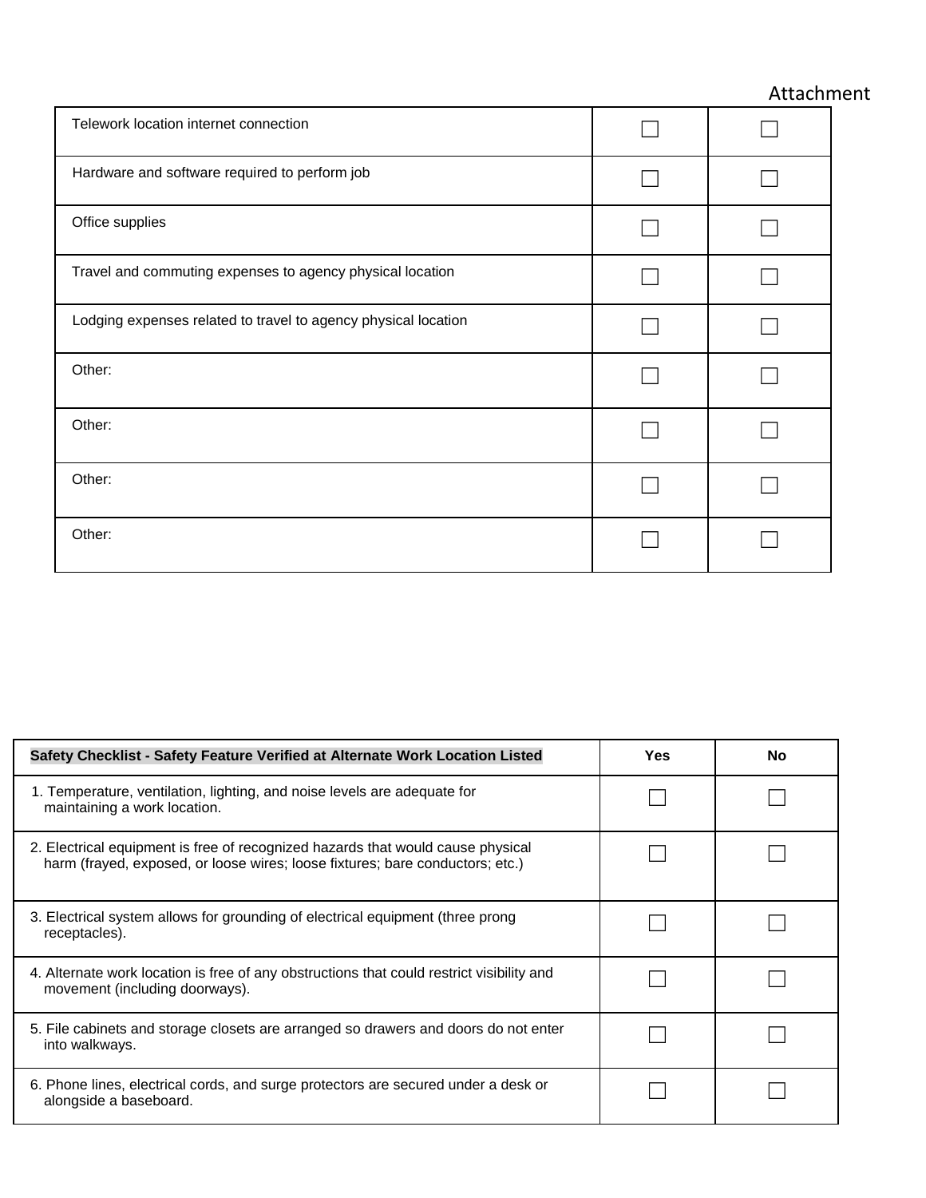# Attachment

| Telework location internet connection                          |  |
|----------------------------------------------------------------|--|
| Hardware and software required to perform job                  |  |
| Office supplies                                                |  |
| Travel and commuting expenses to agency physical location      |  |
| Lodging expenses related to travel to agency physical location |  |
| Other:                                                         |  |
| Other:                                                         |  |
| Other:                                                         |  |
| Other:                                                         |  |

| Safety Checklist - Safety Feature Verified at Alternate Work Location Listed                                                                                     | <b>Yes</b> | <b>No</b> |
|------------------------------------------------------------------------------------------------------------------------------------------------------------------|------------|-----------|
| 1. Temperature, ventilation, lighting, and noise levels are adequate for<br>maintaining a work location.                                                         |            |           |
| 2. Electrical equipment is free of recognized hazards that would cause physical<br>harm (frayed, exposed, or loose wires; loose fixtures; bare conductors; etc.) |            |           |
| 3. Electrical system allows for grounding of electrical equipment (three prong<br>receptacles).                                                                  |            |           |
| 4. Alternate work location is free of any obstructions that could restrict visibility and<br>movement (including doorways).                                      |            |           |
| 5. File cabinets and storage closets are arranged so drawers and doors do not enter<br>into walkways.                                                            |            |           |
| 6. Phone lines, electrical cords, and surge protectors are secured under a desk or<br>alongside a baseboard.                                                     |            |           |